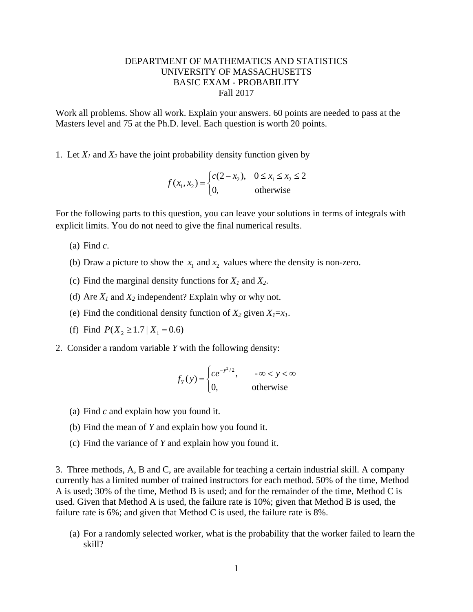## DEPARTMENT OF MATHEMATICS AND STATISTICS UNIVERSITY OF MASSACHUSETTS BASIC EXAM - PROBABILITY Fall 2017

Work all problems. Show all work. Explain your answers. 60 points are needed to pass at the Masters level and 75 at the Ph.D. level. Each question is worth 20 points.

1. Let  $X_1$  and  $X_2$  have the joint probability density function given by

$$
f(x_1, x_2) = \begin{cases} c(2 - x_2), & 0 \le x_1 \le x_2 \le 2\\ 0, & \text{otherwise} \end{cases}
$$

For the following parts to this question, you can leave your solutions in terms of integrals with explicit limits. You do not need to give the final numerical results.

- (a) Find *c*.
- (b) Draw a picture to show the  $x_1$  and  $x_2$  values where the density is non-zero.
- (c) Find the marginal density functions for *X1* and *X2*.
- (d) Are  $X_1$  and  $X_2$  independent? Explain why or why not.
- (e) Find the conditional density function of  $X_2$  given  $X_1 = x_1$ .
- (f) Find  $P(X_2 \geq 1.7 | X_1 = 0.6)$
- 2. Consider a random variable *Y* with the following density:

$$
f_Y(y) = \begin{cases} ce^{-y^2/2}, & -\infty < y < \infty \\ 0, & \text{otherwise} \end{cases}
$$

- (a) Find *c* and explain how you found it.
- (b) Find the mean of *Y* and explain how you found it.
- (c) Find the variance of *Y* and explain how you found it.

3. Three methods, A, B and C, are available for teaching a certain industrial skill. A company currently has a limited number of trained instructors for each method. 50% of the time, Method A is used; 30% of the time, Method B is used; and for the remainder of the time, Method C is used. Given that Method A is used, the failure rate is 10%; given that Method B is used, the failure rate is 6%; and given that Method C is used, the failure rate is 8%.

(a) For a randomly selected worker, what is the probability that the worker failed to learn the skill?